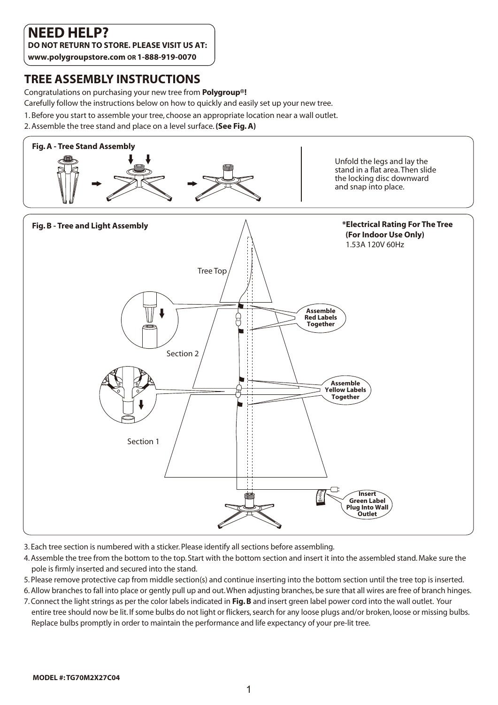# **NEED HELP?**

**DO NOT RETURN TO STORE. PLEASE VISIT US AT:** 

**www.polygroupstore.com OR 1-888-919-0070**

## **TREE ASSEMBLY INSTRUCTIONS**

Congratulations on purchasing your new tree from **Polygroup®!** 

Carefully follow the instructions below on how to quickly and easily set up your new tree.

- 1. Before you start to assemble your tree, choose an appropriate location near a wall outlet.
- 2. Assemble the tree stand and place on a level surface. **(See Fig. A)**



- 3. Each tree section is numbered with a sticker. Please identify all sections before assembling.
- 4. Assemble the tree from the bottom to the top. Start with the bottom section and insert it into the assembled stand. Make sure the pole is firmly inserted and secured into the stand.
- 5. Please remove protective cap from middle section(s) and continue inserting into the bottom section until the tree top is inserted.
- 6. Allow branches to fall into place or gently pull up and out. When adjusting branches, be sure that all wires are free of branch hinges.
- 7. Connect the light strings as per the color labels indicated in **Fig. B** and insert green label power cord into the wall outlet. Your entire tree should now be lit. If some bulbs do not light or flickers, search for any loose plugs and/or broken, loose or missing bulbs. Replace bulbs promptly in order to maintain the performance and life expectancy of your pre-lit tree.